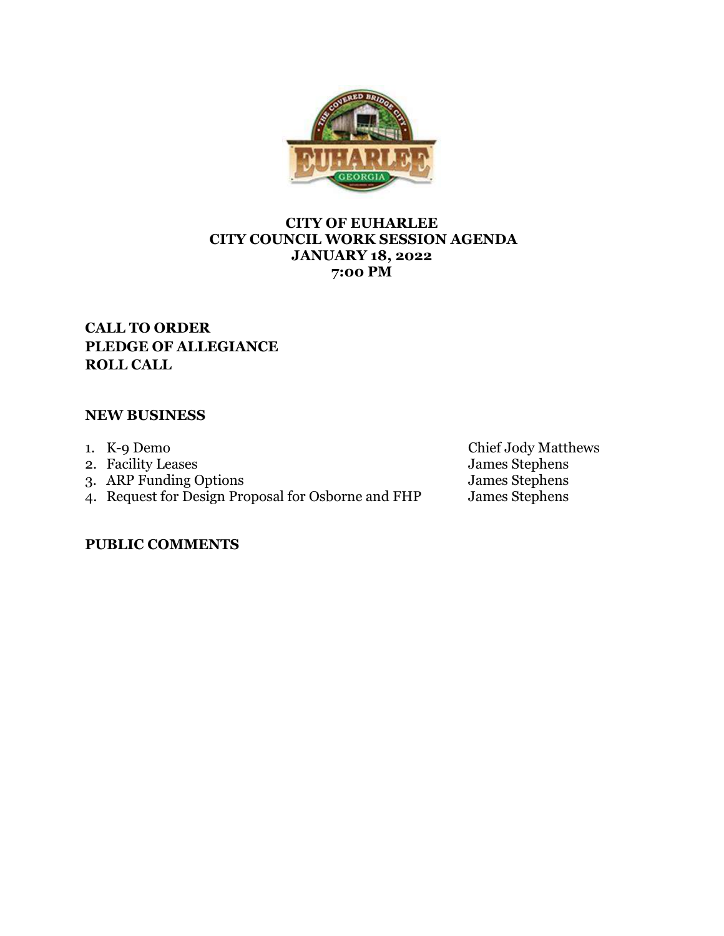

## **CITY OF EUHARLEE CITY COUNCIL WORK SESSION AGENDA JANUARY 18, 2022 7:00 PM**

# **CALL TO ORDER PLEDGE OF ALLEGIANCE ROLL CALL**

## **NEW BUSINESS**

- 
- 1. K-9 Demo<br>2. Facility Leases
- 3. ARP Funding Options **James** Stephens
- 4. Request for Design Proposal for Osborne and FHP James Stephens

Chief Jody Matthews<br>James Stephens<br>James Stephens

**PUBLIC COMMENTS**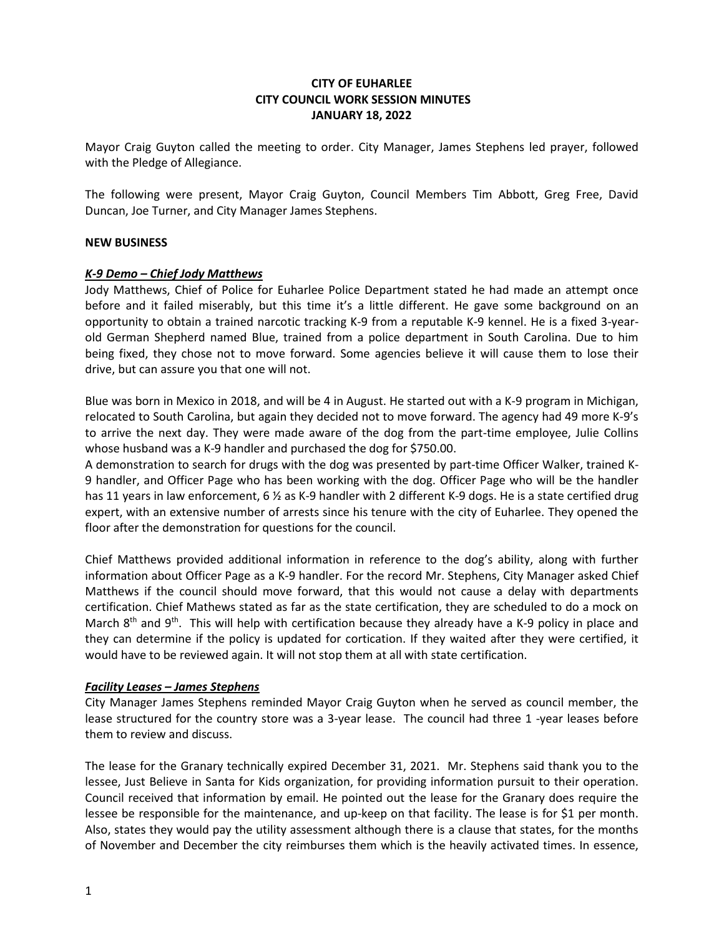## **CITY OF EUHARLEE CITY COUNCIL WORK SESSION MINUTES JANUARY 18, 2022**

Mayor Craig Guyton called the meeting to order. City Manager, James Stephens led prayer, followed with the Pledge of Allegiance.

The following were present, Mayor Craig Guyton, Council Members Tim Abbott, Greg Free, David Duncan, Joe Turner, and City Manager James Stephens.

## **NEW BUSINESS**

#### *K-9 Demo – Chief Jody Matthews*

Jody Matthews, Chief of Police for Euharlee Police Department stated he had made an attempt once before and it failed miserably, but this time it's a little different. He gave some background on an opportunity to obtain a trained narcotic tracking K-9 from a reputable K-9 kennel. He is a fixed 3-yearold German Shepherd named Blue, trained from a police department in South Carolina. Due to him being fixed, they chose not to move forward. Some agencies believe it will cause them to lose their drive, but can assure you that one will not.

Blue was born in Mexico in 2018, and will be 4 in August. He started out with a K-9 program in Michigan, relocated to South Carolina, but again they decided not to move forward. The agency had 49 more K-9's to arrive the next day. They were made aware of the dog from the part-time employee, Julie Collins whose husband was a K-9 handler and purchased the dog for \$750.00.

A demonstration to search for drugs with the dog was presented by part-time Officer Walker, trained K-9 handler, and Officer Page who has been working with the dog. Officer Page who will be the handler has 11 years in law enforcement, 6  $\frac{1}{2}$  as K-9 handler with 2 different K-9 dogs. He is a state certified drug expert, with an extensive number of arrests since his tenure with the city of Euharlee. They opened the floor after the demonstration for questions for the council.

Chief Matthews provided additional information in reference to the dog's ability, along with further information about Officer Page as a K-9 handler. For the record Mr. Stephens, City Manager asked Chief Matthews if the council should move forward, that this would not cause a delay with departments certification. Chief Mathews stated as far as the state certification, they are scheduled to do a mock on March  $8<sup>th</sup>$  and  $9<sup>th</sup>$ . This will help with certification because they already have a K-9 policy in place and they can determine if the policy is updated for cortication. If they waited after they were certified, it would have to be reviewed again. It will not stop them at all with state certification.

## *Facility Leases – James Stephens*

City Manager James Stephens reminded Mayor Craig Guyton when he served as council member, the lease structured for the country store was a 3-year lease. The council had three 1 -year leases before them to review and discuss.

The lease for the Granary technically expired December 31, 2021. Mr. Stephens said thank you to the lessee, Just Believe in Santa for Kids organization, for providing information pursuit to their operation. Council received that information by email. He pointed out the lease for the Granary does require the lessee be responsible for the maintenance, and up-keep on that facility. The lease is for \$1 per month. Also, states they would pay the utility assessment although there is a clause that states, for the months of November and December the city reimburses them which is the heavily activated times. In essence,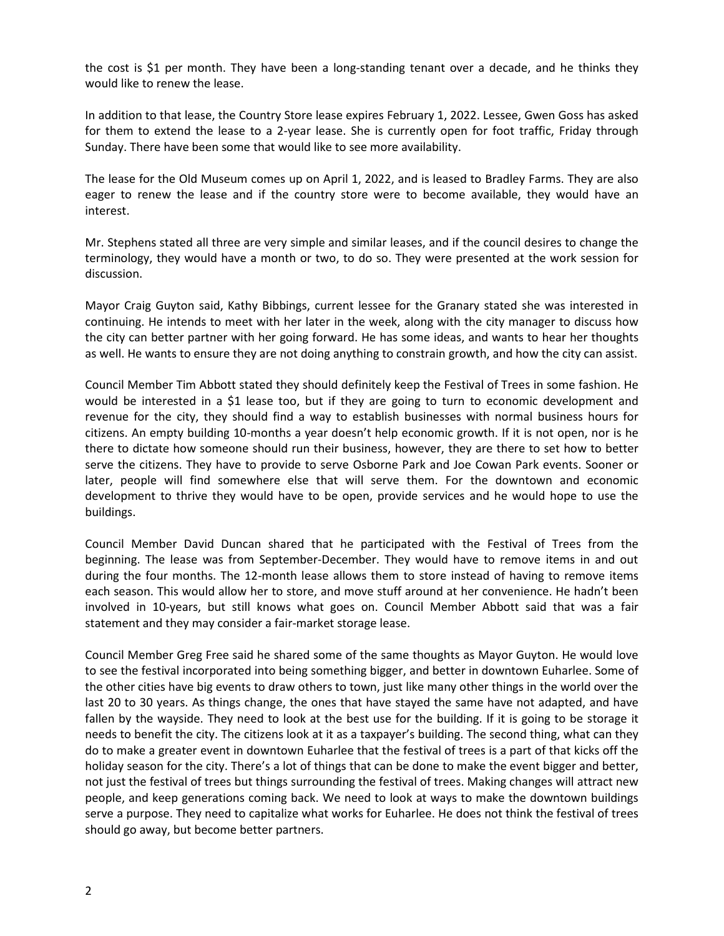the cost is \$1 per month. They have been a long-standing tenant over a decade, and he thinks they would like to renew the lease.

In addition to that lease, the Country Store lease expires February 1, 2022. Lessee, Gwen Goss has asked for them to extend the lease to a 2-year lease. She is currently open for foot traffic, Friday through Sunday. There have been some that would like to see more availability.

The lease for the Old Museum comes up on April 1, 2022, and is leased to Bradley Farms. They are also eager to renew the lease and if the country store were to become available, they would have an interest.

Mr. Stephens stated all three are very simple and similar leases, and if the council desires to change the terminology, they would have a month or two, to do so. They were presented at the work session for discussion.

Mayor Craig Guyton said, Kathy Bibbings, current lessee for the Granary stated she was interested in continuing. He intends to meet with her later in the week, along with the city manager to discuss how the city can better partner with her going forward. He has some ideas, and wants to hear her thoughts as well. He wants to ensure they are not doing anything to constrain growth, and how the city can assist.

Council Member Tim Abbott stated they should definitely keep the Festival of Trees in some fashion. He would be interested in a \$1 lease too, but if they are going to turn to economic development and revenue for the city, they should find a way to establish businesses with normal business hours for citizens. An empty building 10-months a year doesn't help economic growth. If it is not open, nor is he there to dictate how someone should run their business, however, they are there to set how to better serve the citizens. They have to provide to serve Osborne Park and Joe Cowan Park events. Sooner or later, people will find somewhere else that will serve them. For the downtown and economic development to thrive they would have to be open, provide services and he would hope to use the buildings.

Council Member David Duncan shared that he participated with the Festival of Trees from the beginning. The lease was from September-December. They would have to remove items in and out during the four months. The 12-month lease allows them to store instead of having to remove items each season. This would allow her to store, and move stuff around at her convenience. He hadn't been involved in 10-years, but still knows what goes on. Council Member Abbott said that was a fair statement and they may consider a fair-market storage lease.

Council Member Greg Free said he shared some of the same thoughts as Mayor Guyton. He would love to see the festival incorporated into being something bigger, and better in downtown Euharlee. Some of the other cities have big events to draw others to town, just like many other things in the world over the last 20 to 30 years. As things change, the ones that have stayed the same have not adapted, and have fallen by the wayside. They need to look at the best use for the building. If it is going to be storage it needs to benefit the city. The citizens look at it as a taxpayer's building. The second thing, what can they do to make a greater event in downtown Euharlee that the festival of trees is a part of that kicks off the holiday season for the city. There's a lot of things that can be done to make the event bigger and better, not just the festival of trees but things surrounding the festival of trees. Making changes will attract new people, and keep generations coming back. We need to look at ways to make the downtown buildings serve a purpose. They need to capitalize what works for Euharlee. He does not think the festival of trees should go away, but become better partners.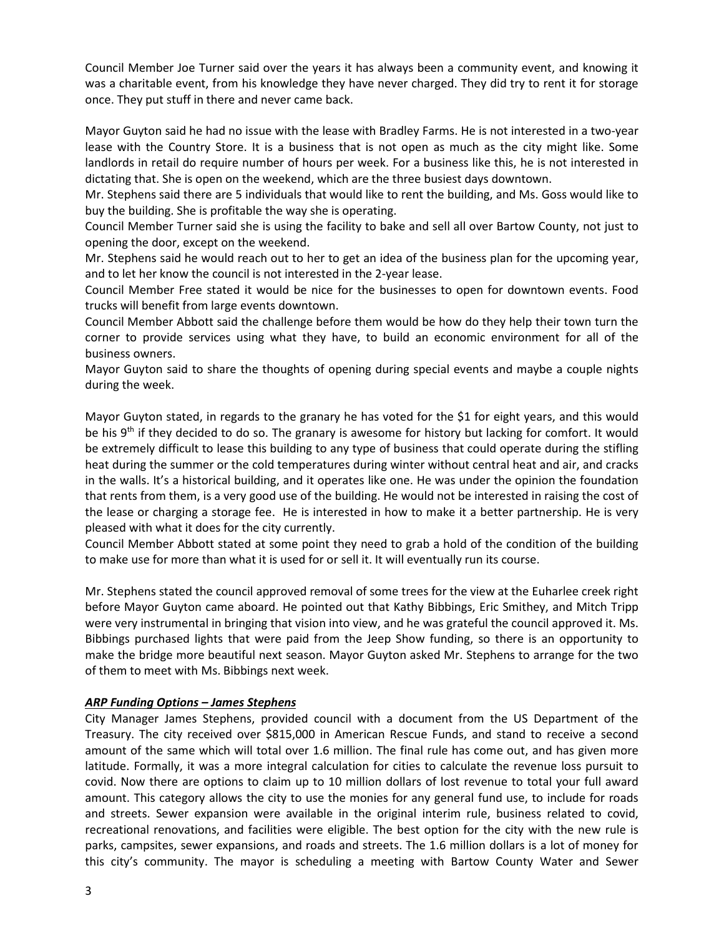Council Member Joe Turner said over the years it has always been a community event, and knowing it was a charitable event, from his knowledge they have never charged. They did try to rent it for storage once. They put stuff in there and never came back.

Mayor Guyton said he had no issue with the lease with Bradley Farms. He is not interested in a two-year lease with the Country Store. It is a business that is not open as much as the city might like. Some landlords in retail do require number of hours per week. For a business like this, he is not interested in dictating that. She is open on the weekend, which are the three busiest days downtown.

Mr. Stephens said there are 5 individuals that would like to rent the building, and Ms. Goss would like to buy the building. She is profitable the way she is operating.

Council Member Turner said she is using the facility to bake and sell all over Bartow County, not just to opening the door, except on the weekend.

Mr. Stephens said he would reach out to her to get an idea of the business plan for the upcoming year, and to let her know the council is not interested in the 2-year lease.

Council Member Free stated it would be nice for the businesses to open for downtown events. Food trucks will benefit from large events downtown.

Council Member Abbott said the challenge before them would be how do they help their town turn the corner to provide services using what they have, to build an economic environment for all of the business owners.

Mayor Guyton said to share the thoughts of opening during special events and maybe a couple nights during the week.

Mayor Guyton stated, in regards to the granary he has voted for the \$1 for eight years, and this would be his  $9<sup>th</sup>$  if they decided to do so. The granary is awesome for history but lacking for comfort. It would be extremely difficult to lease this building to any type of business that could operate during the stifling heat during the summer or the cold temperatures during winter without central heat and air, and cracks in the walls. It's a historical building, and it operates like one. He was under the opinion the foundation that rents from them, is a very good use of the building. He would not be interested in raising the cost of the lease or charging a storage fee. He is interested in how to make it a better partnership. He is very pleased with what it does for the city currently.

Council Member Abbott stated at some point they need to grab a hold of the condition of the building to make use for more than what it is used for or sell it. It will eventually run its course.

Mr. Stephens stated the council approved removal of some trees for the view at the Euharlee creek right before Mayor Guyton came aboard. He pointed out that Kathy Bibbings, Eric Smithey, and Mitch Tripp were very instrumental in bringing that vision into view, and he was grateful the council approved it. Ms. Bibbings purchased lights that were paid from the Jeep Show funding, so there is an opportunity to make the bridge more beautiful next season. Mayor Guyton asked Mr. Stephens to arrange for the two of them to meet with Ms. Bibbings next week.

## *ARP Funding Options – James Stephens*

City Manager James Stephens, provided council with a document from the US Department of the Treasury. The city received over \$815,000 in American Rescue Funds, and stand to receive a second amount of the same which will total over 1.6 million. The final rule has come out, and has given more latitude. Formally, it was a more integral calculation for cities to calculate the revenue loss pursuit to covid. Now there are options to claim up to 10 million dollars of lost revenue to total your full award amount. This category allows the city to use the monies for any general fund use, to include for roads and streets. Sewer expansion were available in the original interim rule, business related to covid, recreational renovations, and facilities were eligible. The best option for the city with the new rule is parks, campsites, sewer expansions, and roads and streets. The 1.6 million dollars is a lot of money for this city's community. The mayor is scheduling a meeting with Bartow County Water and Sewer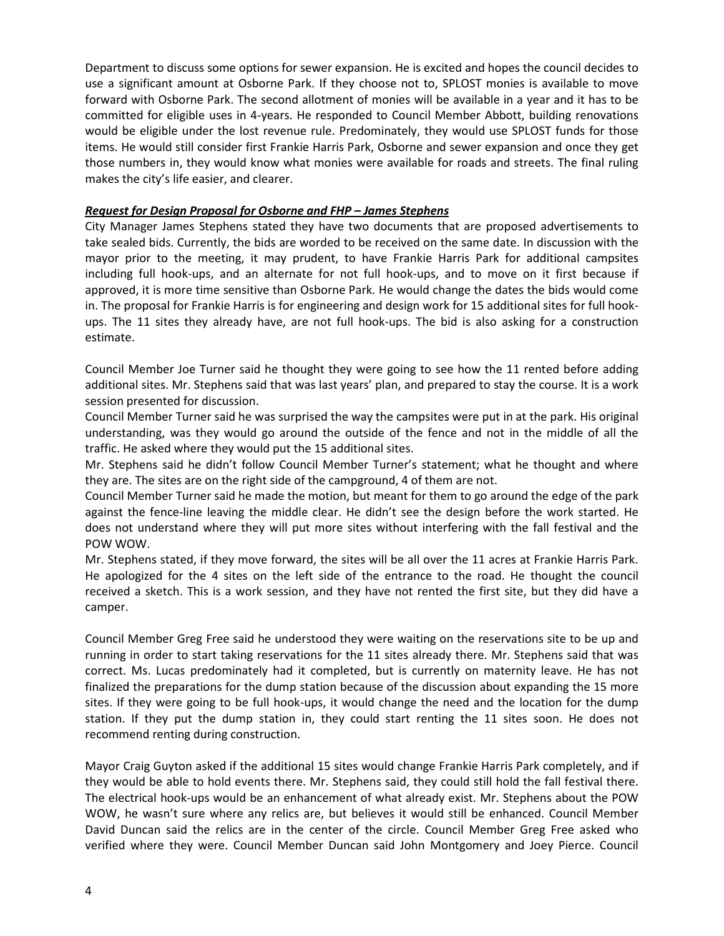Department to discuss some options for sewer expansion. He is excited and hopes the council decides to use a significant amount at Osborne Park. If they choose not to, SPLOST monies is available to move forward with Osborne Park. The second allotment of monies will be available in a year and it has to be committed for eligible uses in 4-years. He responded to Council Member Abbott, building renovations would be eligible under the lost revenue rule. Predominately, they would use SPLOST funds for those items. He would still consider first Frankie Harris Park, Osborne and sewer expansion and once they get those numbers in, they would know what monies were available for roads and streets. The final ruling makes the city's life easier, and clearer.

### *Request for Design Proposal for Osborne and FHP – James Stephens*

City Manager James Stephens stated they have two documents that are proposed advertisements to take sealed bids. Currently, the bids are worded to be received on the same date. In discussion with the mayor prior to the meeting, it may prudent, to have Frankie Harris Park for additional campsites including full hook-ups, and an alternate for not full hook-ups, and to move on it first because if approved, it is more time sensitive than Osborne Park. He would change the dates the bids would come in. The proposal for Frankie Harris is for engineering and design work for 15 additional sites for full hookups. The 11 sites they already have, are not full hook-ups. The bid is also asking for a construction estimate.

Council Member Joe Turner said he thought they were going to see how the 11 rented before adding additional sites. Mr. Stephens said that was last years' plan, and prepared to stay the course. It is a work session presented for discussion.

Council Member Turner said he was surprised the way the campsites were put in at the park. His original understanding, was they would go around the outside of the fence and not in the middle of all the traffic. He asked where they would put the 15 additional sites.

Mr. Stephens said he didn't follow Council Member Turner's statement; what he thought and where they are. The sites are on the right side of the campground, 4 of them are not.

Council Member Turner said he made the motion, but meant for them to go around the edge of the park against the fence-line leaving the middle clear. He didn't see the design before the work started. He does not understand where they will put more sites without interfering with the fall festival and the POW WOW.

Mr. Stephens stated, if they move forward, the sites will be all over the 11 acres at Frankie Harris Park. He apologized for the 4 sites on the left side of the entrance to the road. He thought the council received a sketch. This is a work session, and they have not rented the first site, but they did have a camper.

Council Member Greg Free said he understood they were waiting on the reservations site to be up and running in order to start taking reservations for the 11 sites already there. Mr. Stephens said that was correct. Ms. Lucas predominately had it completed, but is currently on maternity leave. He has not finalized the preparations for the dump station because of the discussion about expanding the 15 more sites. If they were going to be full hook-ups, it would change the need and the location for the dump station. If they put the dump station in, they could start renting the 11 sites soon. He does not recommend renting during construction.

Mayor Craig Guyton asked if the additional 15 sites would change Frankie Harris Park completely, and if they would be able to hold events there. Mr. Stephens said, they could still hold the fall festival there. The electrical hook-ups would be an enhancement of what already exist. Mr. Stephens about the POW WOW, he wasn't sure where any relics are, but believes it would still be enhanced. Council Member David Duncan said the relics are in the center of the circle. Council Member Greg Free asked who verified where they were. Council Member Duncan said John Montgomery and Joey Pierce. Council